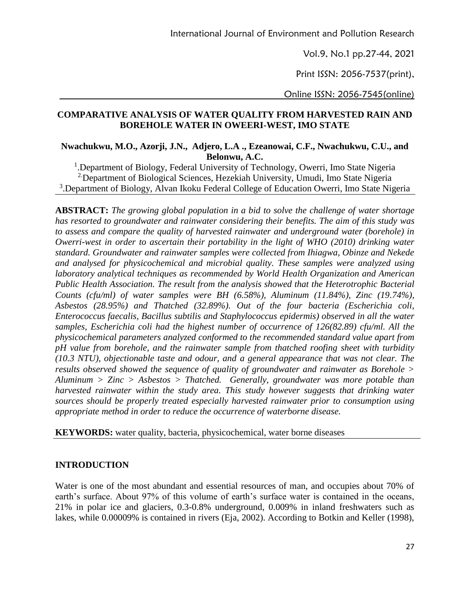Vol.9, No.1 pp.27-44, 2021

Print ISSN: 2056-7537(print),

Online ISSN: 2056-7545(online)

## **COMPARATIVE ANALYSIS OF WATER QUALITY FROM HARVESTED RAIN AND BOREHOLE WATER IN OWEERI-WEST, IMO STATE**

**Nwachukwu, M.O., Azorji, J.N., Adjero, L.A ., Ezeanowai, C.F., Nwachukwu, C.U., and Belonwu, A.C.**

<sup>1</sup>. Department of Biology, Federal University of Technology, Owerri, Imo State Nigeria 2.Department of Biological Sciences, Hezekiah University, Umudi, Imo State Nigeria <sup>3</sup>.Department of Biology, Alvan Ikoku Federal College of Education Owerri, Imo State Nigeria

**ABSTRACT:** *The growing global population in a bid to solve the challenge of water shortage has resorted to groundwater and rainwater considering their benefits. The aim of this study was to assess and compare the quality of harvested rainwater and underground water (borehole) in Owerri-west in order to ascertain their portability in the light of WHO (2010) drinking water standard. Groundwater and rainwater samples were collected from Ihiagwa, Obinze and Nekede and analysed for physicochemical and microbial quality. These samples were analyzed using laboratory analytical techniques as recommended by World Health Organization and American Public Health Association. The result from the analysis showed that the Heterotrophic Bacterial Counts (cfu/ml) of water samples were BH (6.58%), Aluminum (11.84%), Zinc (19.74%), Asbestos (28.95%) and Thatched (32.89%). Out of the four bacteria (Escherichia coli, Enterococcus faecalis, Bacillus subtilis and Staphylococcus epidermis) observed in all the water samples, Escherichia coli had the highest number of occurrence of 126(82.89) cfu/ml. All the physicochemical parameters analyzed conformed to the recommended standard value apart from pH value from borehole, and the rainwater sample from thatched roofing sheet with turbidity (10.3 NTU), objectionable taste and odour, and a general appearance that was not clear. The results observed showed the sequence of quality of groundwater and rainwater as Borehole > Aluminum > Zinc > Asbestos > Thatched. Generally, groundwater was more potable than harvested rainwater within the study area. This study however suggests that drinking water sources should be properly treated especially harvested rainwater prior to consumption using appropriate method in order to reduce the occurrence of waterborne disease.*

**KEYWORDS:** water quality, bacteria, physicochemical, water borne diseases

### **INTRODUCTION**

Water is one of the most abundant and essential resources of man, and occupies about 70% of earth's surface. About 97% of this volume of earth's surface water is contained in the oceans, 21% in polar ice and glaciers, 0.3-0.8% underground, 0.009% in inland freshwaters such as lakes, while 0.00009% is contained in rivers (Eja, 2002). According to Botkin and Keller (1998),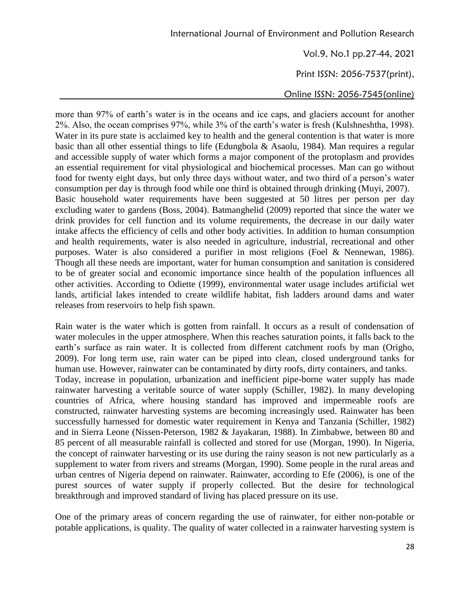Print ISSN: 2056-7537(print),

Online ISSN: 2056-7545(online)

more than 97% of earth's water is in the oceans and ice caps, and glaciers account for another 2%. Also, the ocean comprises 97%, while 3% of the earth's water is fresh (Kulshneshtha, 1998). Water in its pure state is acclaimed key to health and the general contention is that water is more basic than all other essential things to life (Edungbola & Asaolu, 1984). Man requires a regular and accessible supply of water which forms a major component of the protoplasm and provides an essential requirement for vital physiological and biochemical processes. Man can go without food for twenty eight days, but only three days without water, and two third of a person's water consumption per day is through food while one third is obtained through drinking (Muyi, 2007). Basic household water requirements have been suggested at 50 litres per person per day excluding water to gardens (Boss, 2004). Batmanghelid (2009) reported that since the water we drink provides for cell function and its volume requirements, the decrease in our daily water intake affects the efficiency of cells and other body activities. In addition to human consumption and health requirements, water is also needed in agriculture, industrial, recreational and other purposes. Water is also considered a purifier in most religions (Foel & Nennewan, 1986). Though all these needs are important, water for human consumption and sanitation is considered to be of greater social and economic importance since health of the population influences all other activities. According to Odiette (1999), environmental water usage includes artificial wet lands, artificial lakes intended to create wildlife habitat, fish ladders around dams and water releases from reservoirs to help fish spawn.

Rain water is the water which is gotten from rainfall. It occurs as a result of condensation of water molecules in the upper atmosphere. When this reaches saturation points, it falls back to the earth's surface as rain water. It is collected from different catchment roofs by man (Origho, 2009). For long term use, rain water can be piped into clean, closed underground tanks for human use. However, rainwater can be contaminated by dirty roofs, dirty containers, and tanks. Today, increase in population, urbanization and inefficient pipe-borne water supply has made rainwater harvesting a veritable source of water supply (Schiller, 1982). In many developing countries of Africa, where housing standard has improved and impermeable roofs are constructed, rainwater harvesting systems are becoming increasingly used. Rainwater has been successfully harnessed for domestic water requirement in Kenya and Tanzania (Schiller, 1982) and in Sierra Leone (Nissen-Peterson, 1982 & Jayakaran, 1988). In Zimbabwe, between 80 and 85 percent of all measurable rainfall is collected and stored for use (Morgan, 1990). In Nigeria, the concept of rainwater harvesting or its use during the rainy season is not new particularly as a supplement to water from rivers and streams (Morgan, 1990). Some people in the rural areas and urban centres of Nigeria depend on rainwater. Rainwater, according to Efe (2006), is one of the purest sources of water supply if properly collected. But the desire for technological breakthrough and improved standard of living has placed pressure on its use.

One of the primary areas of concern regarding the use of rainwater, for either non-potable or potable applications, is quality. The quality of water collected in a rainwater harvesting system is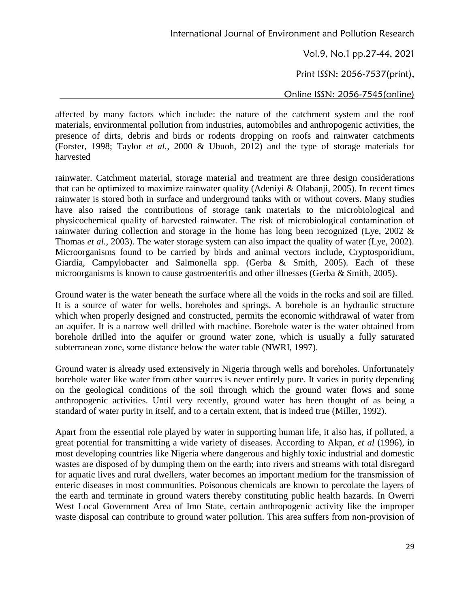Vol.9, No.1 pp.27-44, 2021

Print ISSN: 2056-7537(print),

Online ISSN: 2056-7545(online)

affected by many factors which include: the nature of the catchment system and the roof materials, environmental pollution from industries, automobiles and anthropogenic activities, the presence of dirts, debris and birds or rodents dropping on roofs and rainwater catchments (Forster, 1998; Taylor *et al.*, 2000 & Ubuoh, 2012) and the type of storage materials for harvested

rainwater. Catchment material, storage material and treatment are three design considerations that can be optimized to maximize rainwater quality (Adeniyi & Olabanji, 2005). In recent times rainwater is stored both in surface and underground tanks with or without covers. Many studies have also raised the contributions of storage tank materials to the microbiological and physicochemical quality of harvested rainwater. The risk of microbiological contamination of rainwater during collection and storage in the home has long been recognized (Lye, 2002 & Thomas *et al.*, 2003). The water storage system can also impact the quality of water (Lye, 2002). Microorganisms found to be carried by birds and animal vectors include, Cryptosporidium, Giardia, Campylobacter and Salmonella spp. (Gerba & Smith, 2005). Each of these microorganisms is known to cause gastroenteritis and other illnesses (Gerba & Smith, 2005).

Ground water is the water beneath the surface where all the voids in the rocks and soil are filled. It is a source of water for wells, boreholes and springs. A borehole is an hydraulic structure which when properly designed and constructed, permits the economic withdrawal of water from an aquifer. It is a narrow well drilled with machine. Borehole water is the water obtained from borehole drilled into the aquifer or ground water zone, which is usually a fully saturated subterranean zone, some distance below the water table (NWRI, 1997).

Ground water is already used extensively in Nigeria through wells and boreholes. Unfortunately borehole water like water from other sources is never entirely pure. It varies in purity depending on the geological conditions of the soil through which the ground water flows and some anthropogenic activities. Until very recently, ground water has been thought of as being a standard of water purity in itself, and to a certain extent, that is indeed true (Miller, 1992).

Apart from the essential role played by water in supporting human life, it also has, if polluted, a great potential for transmitting a wide variety of diseases. According to Akpan, *et al* (1996), in most developing countries like Nigeria where dangerous and highly toxic industrial and domestic wastes are disposed of by dumping them on the earth; into rivers and streams with total disregard for aquatic lives and rural dwellers, water becomes an important medium for the transmission of enteric diseases in most communities. Poisonous chemicals are known to percolate the layers of the earth and terminate in ground waters thereby constituting public health hazards. In Owerri West Local Government Area of Imo State, certain anthropogenic activity like the improper waste disposal can contribute to ground water pollution. This area suffers from non-provision of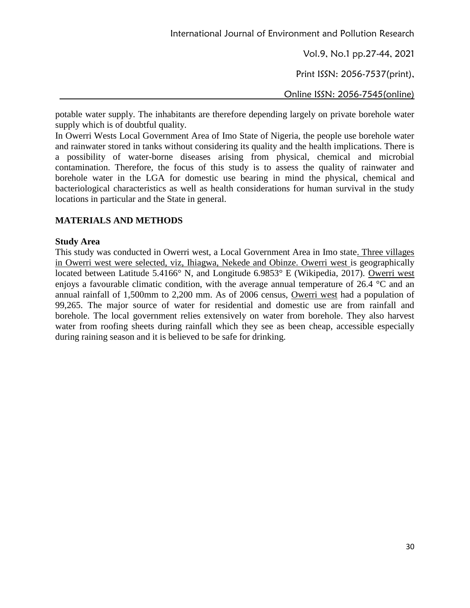Vol.9, No.1 pp.27-44, 2021

Print ISSN: 2056-7537(print),

Online ISSN: 2056-7545(online)

potable water supply. The inhabitants are therefore depending largely on private borehole water supply which is of doubtful quality.

In Owerri Wests Local Government Area of Imo State of Nigeria, the people use borehole water and rainwater stored in tanks without considering its quality and the health implications. There is a possibility of water-borne diseases arising from physical, chemical and microbial contamination. Therefore, the focus of this study is to assess the quality of rainwater and borehole water in the LGA for domestic use bearing in mind the physical, chemical and bacteriological characteristics as well as health considerations for human survival in the study locations in particular and the State in general.

## **MATERIALS AND METHODS**

### **Study Area**

This study was conducted in Owerri west, a Local Government Area in Imo state. Three villages in Owerri west were selected, viz, Ihiagwa, Nekede and Obinze. Owerri west is geographically located between Latitude 5.4166° N, and Longitude 6.9853° E (Wikipedia, 2017). Owerri west enjoys a favourable climatic condition, with the average annual temperature of 26.4 °C and an annual rainfall of 1,500mm to 2,200 mm. As of 2006 census, Owerri west had a population of 99,265. The major source of water for residential and domestic use are from rainfall and borehole. The local government relies extensively on water from borehole. They also harvest water from roofing sheets during rainfall which they see as been cheap, accessible especially during raining season and it is believed to be safe for drinking.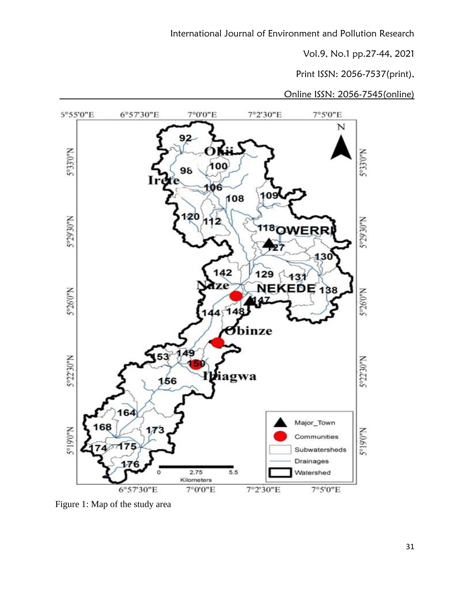Print ISSN: 2056-7537(print),



Figure 1: Map of the study area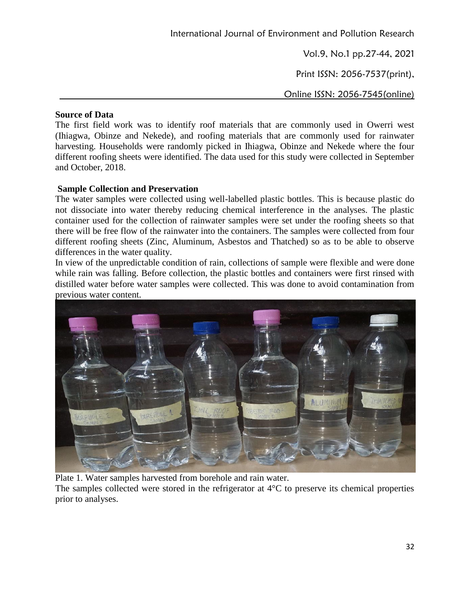Vol.9, No.1 pp.27-44, 2021

Print ISSN: 2056-7537(print),

Online ISSN: 2056-7545(online)

## **Source of Data**

The first field work was to identify roof materials that are commonly used in Owerri west (Ihiagwa, Obinze and Nekede), and roofing materials that are commonly used for rainwater harvesting. Households were randomly picked in Ihiagwa, Obinze and Nekede where the four different roofing sheets were identified. The data used for this study were collected in September and October, 2018.

## **Sample Collection and Preservation**

The water samples were collected using well-labelled plastic bottles. This is because plastic do not dissociate into water thereby reducing chemical interference in the analyses. The plastic container used for the collection of rainwater samples were set under the roofing sheets so that there will be free flow of the rainwater into the containers. The samples were collected from four different roofing sheets (Zinc, Aluminum, Asbestos and Thatched) so as to be able to observe differences in the water quality.

In view of the unpredictable condition of rain, collections of sample were flexible and were done while rain was falling. Before collection, the plastic bottles and containers were first rinsed with distilled water before water samples were collected. This was done to avoid contamination from previous water content.



Plate 1. Water samples harvested from borehole and rain water.

The samples collected were stored in the refrigerator at 4°C to preserve its chemical properties prior to analyses.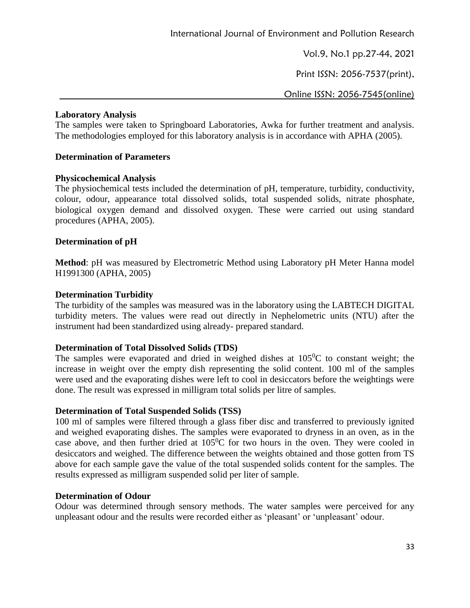Vol.9, No.1 pp.27-44, 2021

Print ISSN: 2056-7537(print),

Online ISSN: 2056-7545(online)

### **Laboratory Analysis**

The samples were taken to Springboard Laboratories, Awka for further treatment and analysis. The methodologies employed for this laboratory analysis is in accordance with APHA (2005).

## **Determination of Parameters**

### **Physicochemical Analysis**

The physiochemical tests included the determination of pH, temperature, turbidity, conductivity, colour, odour, appearance total dissolved solids, total suspended solids, nitrate phosphate, biological oxygen demand and dissolved oxygen. These were carried out using standard procedures (APHA, 2005).

## **Determination of pH**

**Method**: pH was measured by Electrometric Method using Laboratory pH Meter Hanna model H1991300 (APHA, 2005)

## **Determination Turbidity**

The turbidity of the samples was measured was in the laboratory using the LABTECH DIGITAL turbidity meters. The values were read out directly in Nephelometric units (NTU) after the instrument had been standardized using already- prepared standard.

## **Determination of Total Dissolved Solids (TDS)**

The samples were evaporated and dried in weighed dishes at  $105\degree$ C to constant weight; the increase in weight over the empty dish representing the solid content. 100 ml of the samples were used and the evaporating dishes were left to cool in desiccators before the weightings were done. The result was expressed in milligram total solids per litre of samples.

### **Determination of Total Suspended Solids (TSS)**

100 ml of samples were filtered through a glass fiber disc and transferred to previously ignited and weighed evaporating dishes. The samples were evaporated to dryness in an oven, as in the case above, and then further dried at  $105\text{°C}$  for two hours in the oven. They were cooled in desiccators and weighed. The difference between the weights obtained and those gotten from TS above for each sample gave the value of the total suspended solids content for the samples. The results expressed as milligram suspended solid per liter of sample.

### **Determination of Odour**

Odour was determined through sensory methods. The water samples were perceived for any unpleasant odour and the results were recorded either as 'pleasant' or 'unpleasant' odour.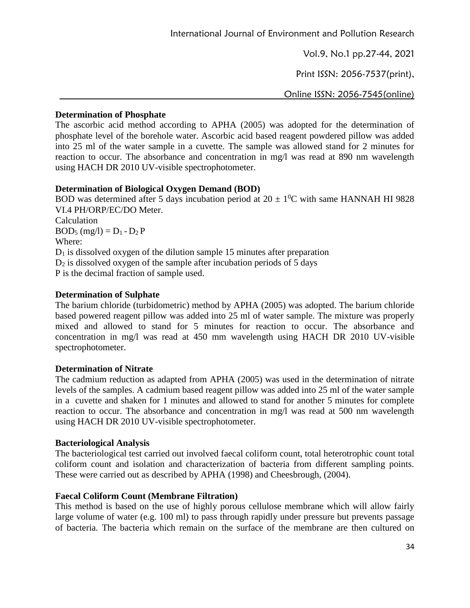Print ISSN: 2056-7537(print),

Online ISSN: 2056-7545(online)

## **Determination of Phosphate**

The ascorbic acid method according to APHA (2005) was adopted for the determination of phosphate level of the borehole water. Ascorbic acid based reagent powdered pillow was added into 25 ml of the water sample in a cuvette. The sample was allowed stand for 2 minutes for reaction to occur. The absorbance and concentration in mg/l was read at 890 nm wavelength using HACH DR 2010 UV-visible spectrophotometer.

# **Determination of Biological Oxygen Demand (BOD)**

BOD was determined after 5 days incubation period at  $20 \pm 10^{\circ}$ C with same HANNAH HI 9828 VI.4 PH/ORP/EC/DO Meter. Calculation  $BOD_5$  (mg/l) =  $D_1 - D_2 P$ Where:  $D_1$  is dissolved oxygen of the dilution sample 15 minutes after preparation  $D_2$  is dissolved oxygen of the sample after incubation periods of 5 days P is the decimal fraction of sample used.

# **Determination of Sulphate**

The barium chloride (turbidometric) method by APHA (2005) was adopted. The barium chloride based powered reagent pillow was added into 25 ml of water sample. The mixture was properly mixed and allowed to stand for 5 minutes for reaction to occur. The absorbance and concentration in mg/l was read at 450 mm wavelength using HACH DR 2010 UV-visible spectrophotometer.

# **Determination of Nitrate**

The cadmium reduction as adapted from APHA (2005) was used in the determination of nitrate levels of the samples. A cadmium based reagent pillow was added into 25 ml of the water sample in a cuvette and shaken for 1 minutes and allowed to stand for another 5 minutes for complete reaction to occur. The absorbance and concentration in mg/l was read at 500 nm wavelength using HACH DR 2010 UV-visible spectrophotometer.

# **Bacteriological Analysis**

The bacteriological test carried out involved faecal coliform count, total heterotrophic count total coliform count and isolation and characterization of bacteria from different sampling points. These were carried out as described by APHA (1998) and Cheesbrough, (2004).

# **Faecal Coliform Count (Membrane Filtration)**

This method is based on the use of highly porous cellulose membrane which will allow fairly large volume of water (e.g. 100 ml) to pass through rapidly under pressure but prevents passage of bacteria. The bacteria which remain on the surface of the membrane are then cultured on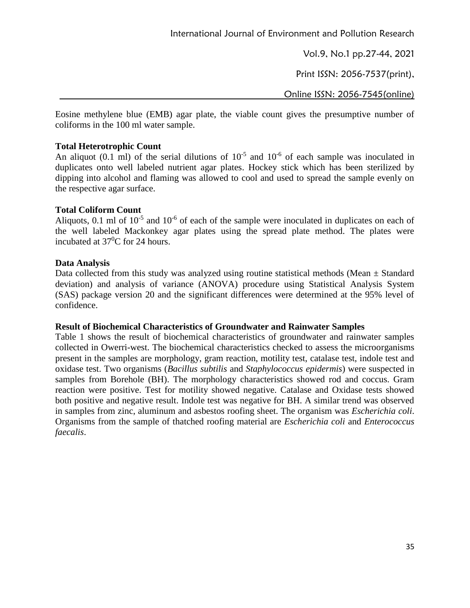Print ISSN: 2056-7537(print),

Online ISSN: 2056-7545(online)

Eosine methylene blue (EMB) agar plate, the viable count gives the presumptive number of coliforms in the 100 ml water sample.

### **Total Heterotrophic Count**

An aliquot (0.1 ml) of the serial dilutions of  $10^{-5}$  and  $10^{-6}$  of each sample was inoculated in duplicates onto well labeled nutrient agar plates. Hockey stick which has been sterilized by dipping into alcohol and flaming was allowed to cool and used to spread the sample evenly on the respective agar surface.

### **Total Coliform Count**

Aliquots, 0.1 ml of  $10^{-5}$  and  $10^{-6}$  of each of the sample were inoculated in duplicates on each of the well labeled Mackonkey agar plates using the spread plate method. The plates were incubated at 37<sup>0</sup>C for 24 hours.

## **Data Analysis**

Data collected from this study was analyzed using routine statistical methods (Mean  $\pm$  Standard deviation) and analysis of variance (ANOVA) procedure using Statistical Analysis System (SAS) package version 20 and the significant differences were determined at the 95% level of confidence.

### **Result of Biochemical Characteristics of Groundwater and Rainwater Samples**

Table 1 shows the result of biochemical characteristics of groundwater and rainwater samples collected in Owerri-west. The biochemical characteristics checked to assess the microorganisms present in the samples are morphology, gram reaction, motility test, catalase test, indole test and oxidase test. Two organisms (*Bacillus subtilis* and *Staphylococcus epidermis*) were suspected in samples from Borehole (BH). The morphology characteristics showed rod and coccus. Gram reaction were positive. Test for motility showed negative. Catalase and Oxidase tests showed both positive and negative result. Indole test was negative for BH. A similar trend was observed in samples from zinc, aluminum and asbestos roofing sheet. The organism was *Escherichia coli*. Organisms from the sample of thatched roofing material are *Escherichia coli* and *Enterococcus faecalis*.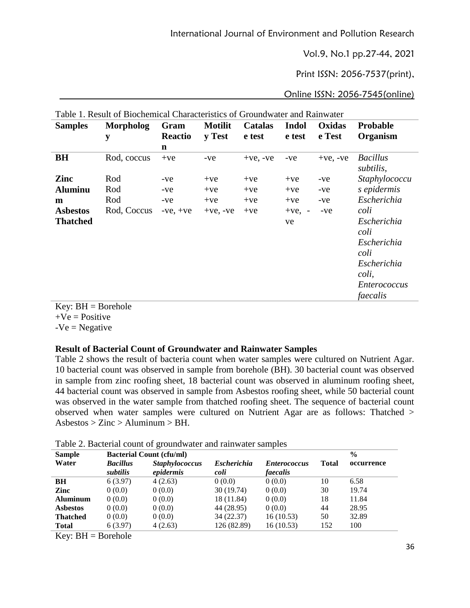Print ISSN: 2056-7537(print),

Online ISSN: 2056-7545(online)

| <b>Samples</b>  | <b>Morpholog</b> | Gram           | <b>Motilit</b> | <b>Catalas</b> | <b>Indol</b>                       | Oxidas        | <b>Probable</b>              |
|-----------------|------------------|----------------|----------------|----------------|------------------------------------|---------------|------------------------------|
|                 | y                | <b>Reactio</b> | y Test         | e test         | e test                             | e Test        | Organism                     |
|                 |                  | n              |                |                |                                    |               |                              |
| <b>BH</b>       | Rod, coccus      | $+ve$          | -ve            | $+ve$ , $-ve$  | -ve                                | $+ve$ , $-ve$ | <b>Bacillus</b><br>subtilis, |
| Zinc            | Rod              | $-ve$          | $+ve$          | $+ve$          | $+ve$                              | -ve           | Staphylococcu                |
| <b>Aluminu</b>  | Rod              | -ve            | $+ve$          | $+ve$          | $+ve$                              | -ve           | s epidermis                  |
| m               | Rod              | -ve            | $+ve$          | $+ve$          | $+ve$                              | -ve           | Escherichia                  |
| <b>Asbestos</b> | Rod, Coccus      | $-ve, +ve$     | $+ve$ , $-ve$  | $+ve$          | $+ve,$<br>$\overline{\phantom{a}}$ | -ve           | coli                         |
| <b>Thatched</b> |                  |                |                |                | ve                                 |               | Escherichia<br>coli          |
|                 |                  |                |                |                |                                    |               | Escherichia                  |
|                 |                  |                |                |                |                                    |               | coli                         |
|                 |                  |                |                |                |                                    |               | Escherichia                  |
|                 |                  |                |                |                |                                    |               | coli,                        |
|                 |                  |                |                |                |                                    |               | <i>Enterococcus</i>          |
|                 |                  |                |                |                |                                    |               | faecalis                     |

Table 1. Result of Biochemical Characteristics of Groundwater and Rainwater

 $Key: BH = Borehole$  $+Ve = Positive$ 

 $-Ve = Negative$ 

### **Result of Bacterial Count of Groundwater and Rainwater Samples**

Table 2 shows the result of bacteria count when water samples were cultured on Nutrient Agar. 10 bacterial count was observed in sample from borehole (BH). 30 bacterial count was observed in sample from zinc roofing sheet, 18 bacterial count was observed in aluminum roofing sheet, 44 bacterial count was observed in sample from Asbestos roofing sheet, while 50 bacterial count was observed in the water sample from thatched roofing sheet. The sequence of bacterial count observed when water samples were cultured on Nutrient Agar are as follows: Thatched >  $Asbestos > Zinc >$  Aluminum  $>$  BH.

| <b>Sample</b>   | <b>Bacterial Count (cfu/ml)</b> |                                    |                            |                                        |              | $\frac{0}{0}$ |  |  |
|-----------------|---------------------------------|------------------------------------|----------------------------|----------------------------------------|--------------|---------------|--|--|
| Water           | <b>Bacillus</b><br>subtilis     | <b>Staphylococcus</b><br>epidermis | <b>Escherichia</b><br>coli | <i><b>Enterococcus</b></i><br>faecalis | <b>Total</b> | occurrence    |  |  |
| BH              | 6(3.97)                         | 4(2.63)                            | 0(0.0)                     | 0(0.0)                                 | 10           | 6.58          |  |  |
| Zinc            | 0(0.0)                          | 0(0.0)                             | 30(19.74)                  | 0(0.0)                                 | 30           | 19.74         |  |  |
| <b>Aluminum</b> | 0(0.0)                          | 0(0.0)                             | 18 (11.84)                 | 0(0.0)                                 | 18           | 11.84         |  |  |
| <b>Asbestos</b> | 0(0.0)                          | 0(0.0)                             | 44 (28.95)                 | 0(0.0)                                 | 44           | 28.95         |  |  |
| <b>Thatched</b> | 0(0.0)                          | 0(0.0)                             | 34 (22.37)                 | 16(10.53)                              | 50           | 32.89         |  |  |
| <b>Total</b>    | 6(3.97)                         | 4(2.63)                            | 126 (82.89)                | 16(10.53)                              | 152          | 100           |  |  |

Table 2. Bacterial count of groundwater and rainwater samples

Key:  $BH = Borehole$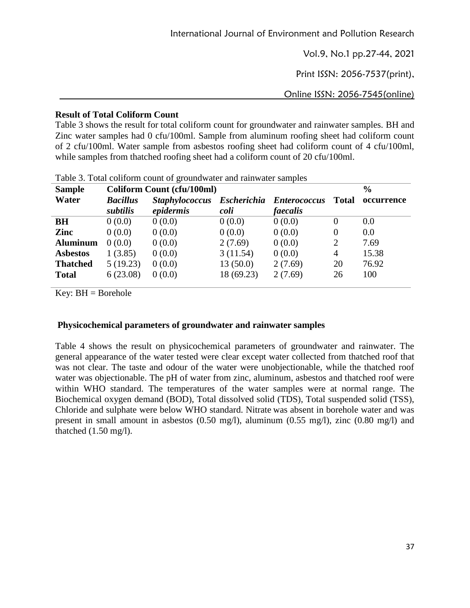Print ISSN: 2056-7537(print),

Online ISSN: 2056-7545(online)

## **Result of Total Coliform Count**

Table 3 shows the result for total coliform count for groundwater and rainwater samples. BH and Zinc water samples had 0 cfu/100ml. Sample from aluminum roofing sheet had coliform count of 2 cfu/100ml. Water sample from asbestos roofing sheet had coliform count of 4 cfu/100ml, while samples from thatched roofing sheet had a coliform count of 20 cfu/100ml.

| <b>Sample</b>   | Coliform Count (cfu/100ml) |                       | $\frac{6}{6}$ |                                 |              |            |
|-----------------|----------------------------|-----------------------|---------------|---------------------------------|--------------|------------|
| Water           | <b>Bacillus</b>            | <b>Staphylococcus</b> |               | <b>Escherichia Enterococcus</b> | <b>Total</b> | occurrence |
|                 | subtilis                   | epidermis             | coli          | faecalis                        |              |            |
| BH              | 0(0.0)                     | 0(0.0)                | 0(0.0)        | 0(0.0)                          | $\theta$     | 0.0        |
| Zinc            | 0(0.0)                     | 0(0.0)                | 0(0.0)        | 0(0.0)                          | 0            | 0.0        |
| <b>Aluminum</b> | 0(0.0)                     | 0(0.0)                | 2(7.69)       | 0(0.0)                          | 2            | 7.69       |
| <b>Asbestos</b> | 1(3.85)                    | 0(0.0)                | 3(11.54)      | 0(0.0)                          | 4            | 15.38      |
| <b>Thatched</b> | 5(19.23)                   | 0(0.0)                | 13(50.0)      | 2(7.69)                         | 20           | 76.92      |
| <b>Total</b>    | 6(23.08)                   | 0(0.0)                | 18 (69.23)    | 2(7.69)                         | 26           | 100        |

Table 3. Total coliform count of groundwater and rainwater samples

Key:  $BH = Borehole$ 

### **Physicochemical parameters of groundwater and rainwater samples**

Table 4 shows the result on physicochemical parameters of groundwater and rainwater. The general appearance of the water tested were clear except water collected from thatched roof that was not clear. The taste and odour of the water were unobjectionable, while the thatched roof water was objectionable. The pH of water from zinc, aluminum, asbestos and thatched roof were within WHO standard. The temperatures of the water samples were at normal range. The Biochemical oxygen demand (BOD), Total dissolved solid (TDS), Total suspended solid (TSS), Chloride and sulphate were below WHO standard. Nitrate was absent in borehole water and was present in small amount in asbestos (0.50 mg/l), aluminum (0.55 mg/l), zinc (0.80 mg/l) and thatched (1.50 mg/l).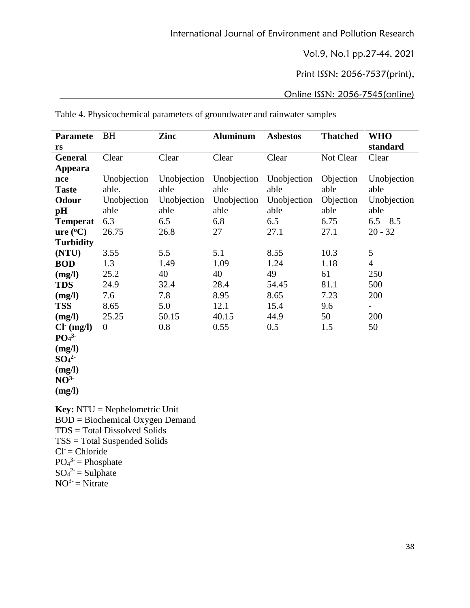Print ISSN: 2056-7537(print),

## Online ISSN: 2056-7545(online)

| <b>Paramete</b>              | <b>BH</b>      | Zinc        | <b>Aluminum</b> | <b>Asbestos</b> | <b>Thatched</b> | <b>WHO</b>               |
|------------------------------|----------------|-------------|-----------------|-----------------|-----------------|--------------------------|
| <b>rs</b>                    |                |             |                 |                 |                 | standard                 |
| <b>General</b>               | Clear          | Clear       | Clear           | Clear           | Not Clear       | Clear                    |
| Appeara                      |                |             |                 |                 |                 |                          |
| nce                          | Unobjection    | Unobjection | Unobjection     | Unobjection     | Objection       | Unobjection              |
| <b>Taste</b>                 | able.          | able        | able            | able            | able            | able                     |
| <b>Odour</b>                 | Unobjection    | Unobjection | Unobjection     | Unobjection     | Objection       | Unobjection              |
| pH                           | able           | able        | able            | able            | able            | able                     |
| <b>Temperat</b>              | 6.3            | 6.5         | 6.8             | 6.5             | 6.75            | $6.5 - 8.5$              |
| ure (°C)                     | 26.75          | 26.8        | 27              | 27.1            | 27.1            | $20 - 32$                |
| <b>Turbidity</b>             |                |             |                 |                 |                 |                          |
| (NTU)                        | 3.55           | 5.5         | 5.1             | 8.55            | 10.3            | 5                        |
| <b>BOD</b>                   | 1.3            | 1.49        | 1.09            | 1.24            | 1.18            | $\overline{4}$           |
| (mg/l)                       | 25.2           | 40          | 40              | 49              | 61              | 250                      |
| <b>TDS</b>                   | 24.9           | 32.4        | 28.4            | 54.45           | 81.1            | 500                      |
| (mg/l)                       | 7.6            | 7.8         | 8.95            | 8.65            | 7.23            | 200                      |
| <b>TSS</b>                   | 8.65           | 5.0         | 12.1            | 15.4            | 9.6             | $\overline{\phantom{0}}$ |
| (mg/l)                       | 25.25          | 50.15       | 40.15           | 44.9            | 50              | 200                      |
| $Cl^-(mg/l)$                 | $\overline{0}$ | 0.8         | 0.55            | 0.5             | 1.5             | 50                       |
| PO <sub>4</sub> <sup>3</sup> |                |             |                 |                 |                 |                          |
| (mg/l)                       |                |             |                 |                 |                 |                          |
| SO <sub>4</sub> <sup>2</sup> |                |             |                 |                 |                 |                          |
| (mg/l)                       |                |             |                 |                 |                 |                          |
| NO <sup>3</sup>              |                |             |                 |                 |                 |                          |
| (mg/l)                       |                |             |                 |                 |                 |                          |
|                              |                |             |                 |                 |                 |                          |

Table 4. Physicochemical parameters of groundwater and rainwater samples

**Key:** NTU = Nephelometric Unit  $BOD = Biochemical Oxygen Demand$ TDS = Total Dissolved Solids TSS = Total Suspended Solids  $Cl = Chloride$  $PO_4^3$  = Phosphate  $SO_4^2$  = Sulphate  $NO<sup>3-</sup> = Nitrate$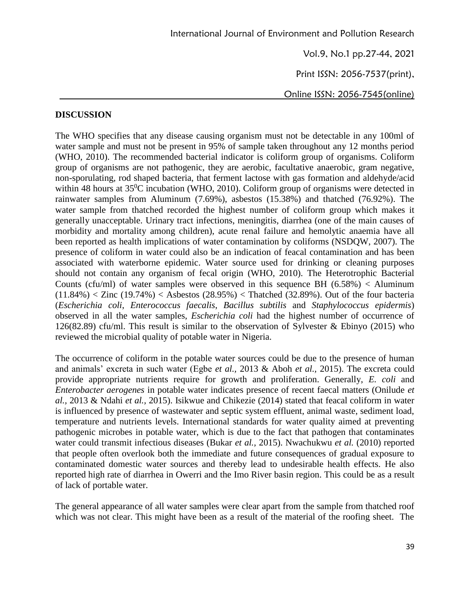Print ISSN: 2056-7537(print),

Online ISSN: 2056-7545(online)

## **DISCUSSION**

The WHO specifies that any disease causing organism must not be detectable in any 100ml of water sample and must not be present in 95% of sample taken throughout any 12 months period (WHO, 2010). The recommended bacterial indicator is coliform group of organisms. Coliform group of organisms are not pathogenic, they are aerobic, facultative anaerobic, gram negative, non-sporulating, rod shaped bacteria, that ferment lactose with gas formation and aldehyde/acid within 48 hours at 35<sup>0</sup>C incubation (WHO, 2010). Coliform group of organisms were detected in rainwater samples from Aluminum (7.69%), asbestos (15.38%) and thatched (76.92%). The water sample from thatched recorded the highest number of coliform group which makes it generally unacceptable. Urinary tract infections, meningitis, diarrhea (one of the main causes of morbidity and mortality among children), acute renal failure and hemolytic anaemia have all been reported as health implications of water contamination by coliforms (NSDQW, 2007). The presence of coliform in water could also be an indication of feacal contamination and has been associated with waterborne epidemic. Water source used for drinking or cleaning purposes should not contain any organism of fecal origin (WHO, 2010). The Heterotrophic Bacterial Counts (cfu/ml) of water samples were observed in this sequence BH  $(6.58\%)$  < Aluminum  $(11.84%) <$  Zinc  $(19.74%) <$  Asbestos  $(28.95%) <$  Thatched  $(32.89%)$ . Out of the four bacteria (*Escherichia coli*, *Enterococcus faecalis*, *Bacillus subtilis* and *Staphylococcus epidermis*) observed in all the water samples, *Escherichia coli* had the highest number of occurrence of 126(82.89) cfu/ml. This result is similar to the observation of Sylvester & Ebinyo (2015) who reviewed the microbial quality of potable water in Nigeria.

The occurrence of coliform in the potable water sources could be due to the presence of human and animals' excreta in such water (Egbe *et al.,* 2013 & Aboh *et al.,* 2015). The excreta could provide appropriate nutrients require for growth and proliferation. Generally, *E. coli* and *Enterobacter aerogenes* in potable water indicates presence of recent faecal matters (Onilude *et al.,* 2013 & Ndahi *et al.,* 2015). Isikwue and Chikezie (2014) stated that feacal coliform in water is influenced by presence of wastewater and septic system effluent, animal waste, sediment load, temperature and nutrients levels. International standards for water quality aimed at preventing pathogenic microbes in potable water, which is due to the fact that pathogen that contaminates water could transmit infectious diseases (Bukar *et al.,* 2015). Nwachukwu *et al.* (2010) reported that people often overlook both the immediate and future consequences of gradual exposure to contaminated domestic water sources and thereby lead to undesirable health effects. He also reported high rate of diarrhea in Owerri and the Imo River basin region. This could be as a result of lack of portable water.

The general appearance of all water samples were clear apart from the sample from thatched roof which was not clear. This might have been as a result of the material of the roofing sheet. The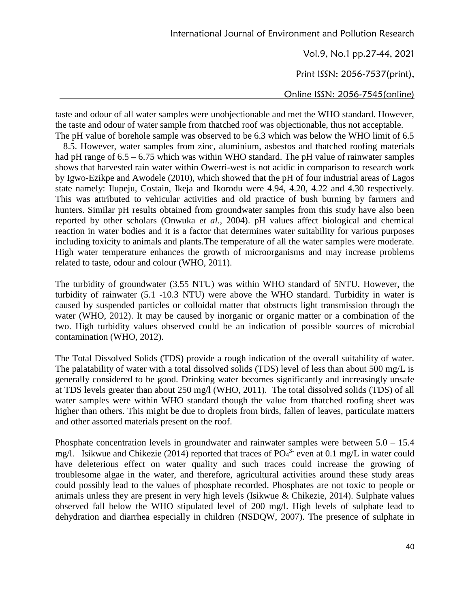Vol.9, No.1 pp.27-44, 2021

Print ISSN: 2056-7537(print),

Online ISSN: 2056-7545(online)

taste and odour of all water samples were unobjectionable and met the WHO standard. However, the taste and odour of water sample from thatched roof was objectionable, thus not acceptable. The pH value of borehole sample was observed to be 6.3 which was below the WHO limit of 6.5 – 8.5. However, water samples from zinc, aluminium, asbestos and thatched roofing materials had pH range of  $6.5 - 6.75$  which was within WHO standard. The pH value of rainwater samples shows that harvested rain water within Owerri-west is not acidic in comparison to research work by Igwo-Ezikpe and Awodele (2010), which showed that the pH of four industrial areas of Lagos state namely: Ilupeju, Costain, Ikeja and Ikorodu were 4.94, 4.20, 4.22 and 4.30 respectively. This was attributed to vehicular activities and old practice of bush burning by farmers and hunters. Similar pH results obtained from groundwater samples from this study have also been reported by other scholars (Onwuka *et al.,* 2004). pH values affect biological and chemical reaction in water bodies and it is a factor that determines water suitability for various purposes including toxicity to animals and plants.The temperature of all the water samples were moderate. High water temperature enhances the growth of microorganisms and may increase problems related to taste, odour and colour (WHO, 2011).

The turbidity of groundwater (3.55 NTU) was within WHO standard of 5NTU. However, the turbidity of rainwater (5.1 -10.3 NTU) were above the WHO standard. Turbidity in water is caused by suspended particles or colloidal matter that obstructs light transmission through the water (WHO, 2012). It may be caused by inorganic or organic matter or a combination of the two. High turbidity values observed could be an indication of possible sources of microbial contamination (WHO, 2012).

The Total Dissolved Solids (TDS) provide a rough indication of the overall suitability of water. The palatability of water with a total dissolved solids (TDS) level of less than about 500 mg/L is generally considered to be good. Drinking water becomes significantly and increasingly unsafe at TDS levels greater than about 250 mg/l (WHO, 2011). The total dissolved solids (TDS) of all water samples were within WHO standard though the value from thatched roofing sheet was higher than others. This might be due to droplets from birds, fallen of leaves, particulate matters and other assorted materials present on the roof.

Phosphate concentration levels in groundwater and rainwater samples were between 5.0 – 15.4 mg/l. Isikwue and Chikezie (2014) reported that traces of  $PO_4^3$  even at 0.1 mg/L in water could have deleterious effect on water quality and such traces could increase the growing of troublesome algae in the water, and therefore, agricultural activities around these study areas could possibly lead to the values of phosphate recorded. Phosphates are not toxic to people or animals unless they are present in very high levels (Isikwue & Chikezie, 2014). Sulphate values observed fall below the WHO stipulated level of 200 mg/l. High levels of sulphate lead to dehydration and diarrhea especially in children (NSDQW, 2007). The presence of sulphate in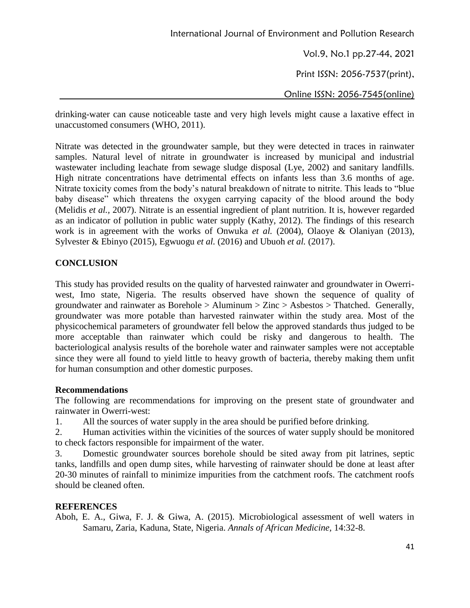Vol.9, No.1 pp.27-44, 2021

Print ISSN: 2056-7537(print),

Online ISSN: 2056-7545(online)

drinking-water can cause noticeable taste and very high levels might cause a laxative effect in unaccustomed consumers (WHO, 2011).

Nitrate was detected in the groundwater sample, but they were detected in traces in rainwater samples. Natural level of nitrate in groundwater is increased by municipal and industrial wastewater including leachate from sewage sludge disposal (Lye*,* 2002) and sanitary landfills. High nitrate concentrations have detrimental effects on infants less than 3.6 months of age. Nitrate toxicity comes from the body's natural breakdown of nitrate to nitrite. This leads to "blue baby disease" which threatens the oxygen carrying capacity of the blood around the body (Melidis *et al.,* 2007). Nitrate is an essential ingredient of plant nutrition. It is, however regarded as an indicator of pollution in public water supply (Kathy, 2012). The findings of this research work is in agreement with the works of Onwuka *et al.* (2004), Olaoye & Olaniyan (2013), Sylvester & Ebinyo (2015), Egwuogu *et al.* (2016) and Ubuoh *et al.* (2017).

### **CONCLUSION**

This study has provided results on the quality of harvested rainwater and groundwater in Owerriwest, Imo state, Nigeria. The results observed have shown the sequence of quality of groundwater and rainwater as Borehole  $>$  Aluminum  $>$  Zinc  $>$  Asbestos  $>$  Thatched. Generally, groundwater was more potable than harvested rainwater within the study area. Most of the physicochemical parameters of groundwater fell below the approved standards thus judged to be more acceptable than rainwater which could be risky and dangerous to health. The bacteriological analysis results of the borehole water and rainwater samples were not acceptable since they were all found to yield little to heavy growth of bacteria, thereby making them unfit for human consumption and other domestic purposes.

### **Recommendations**

The following are recommendations for improving on the present state of groundwater and rainwater in Owerri-west:

1. All the sources of water supply in the area should be purified before drinking.

2. Human activities within the vicinities of the sources of water supply should be monitored to check factors responsible for impairment of the water.

3. Domestic groundwater sources borehole should be sited away from pit latrines, septic tanks, landfills and open dump sites, while harvesting of rainwater should be done at least after 20-30 minutes of rainfall to minimize impurities from the catchment roofs. The catchment roofs should be cleaned often.

### **REFERENCES**

Aboh, E. A., Giwa, F. J. & Giwa, A. (2015). Microbiological assessment of well waters in Samaru, Zaria, Kaduna, State, Nigeria. *Annals of African Medicine,* 14:32-8.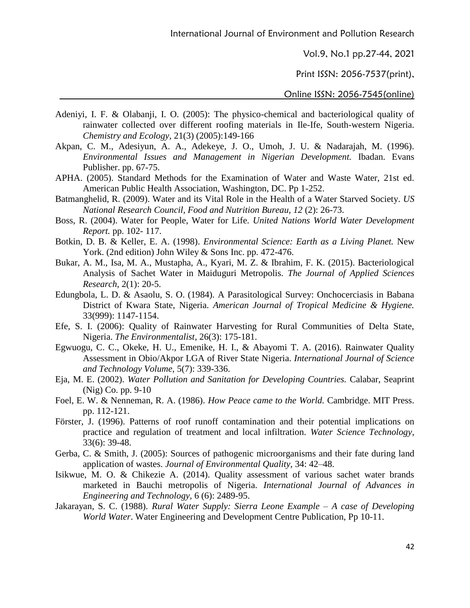Vol.9, No.1 pp.27-44, 2021

Print ISSN: 2056-7537(print),

- Adeniyi, I. F. & Olabanji, I. O. (2005): The physico-chemical and bacteriological quality of rainwater collected over different roofing materials in Ile-Ife, South-western Nigeria. *Chemistry and Ecology,* 21(3) (2005):149-166
- Akpan, C. M., Adesiyun, A. A., Adekeye, J. O., Umoh, J. U. & Nadarajah, M. (1996). *Environmental Issues and Management in Nigerian Development.* Ibadan. Evans Publisher. pp. 67-75.
- APHA. (2005). Standard Methods for the Examination of Water and Waste Water, 21st ed. American Public Health Association, Washington, DC. Pp 1-252.
- Batmanghelid, R. (2009). Water and its Vital Role in the Health of a Water Starved Society. *US National Research Council, Food and Nutrition Bureau, 12* (2): 26-73.
- Boss, R. (2004). Water for People, Water for Life. *United Nations World Water Development Report.* pp. 102- 117.
- Botkin, D. B. & Keller, E. A. (1998). *Environmental Science: Earth as a Living Planet.* New York. (2nd edition) John Wiley & Sons Inc. pp. 472-476.
- Bukar, A. M., Isa, M. A., Mustapha, A., Kyari, M. Z. & Ibrahim, F. K. (2015). Bacteriological Analysis of Sachet Water in Maiduguri Metropolis. *The Journal of Applied Sciences Research,* 2(1): 20-5.
- Edungbola, L. D. & Asaolu, S. O. (1984). A Parasitological Survey: Onchocerciasis in Babana District of Kwara State, Nigeria. *American Journal of Tropical Medicine & Hygiene.*  33(999): 1147-1154.
- Efe, S. I. (2006): Quality of Rainwater Harvesting for Rural Communities of Delta State, Nigeria. *The Environmentalist*, 26(3): 175-181.
- Egwuogu, C. C., Okeke, H. U., Emenike, H. I., & Abayomi T. A. (2016). Rainwater Quality Assessment in Obio/Akpor LGA of River State Nigeria. *International Journal of Science and Technology Volume*, 5(7): 339-336.
- Eja, M. E. (2002). *Water Pollution and Sanitation for Developing Countries.* Calabar, Seaprint (Nig) Co. pp. 9-10
- Foel, E. W. & Nenneman, R. A. (1986). *How Peace came to the World.* Cambridge. MIT Press. pp. 112-121.
- Förster, J. (1996). Patterns of roof runoff contamination and their potential implications on practice and regulation of treatment and local infiltration. *Water Science Technology*, 33(6): 39-48.
- Gerba, C. & Smith, J. (2005): Sources of pathogenic microorganisms and their fate during land application of wastes. *Journal of Environmental Quality*, 34: 42–48.
- Isikwue, M. O. & Chikezie A. (2014). Quality assessment of various sachet water brands marketed in Bauchi metropolis of Nigeria. *International Journal of Advances in Engineering and Technology,* 6 (6): 2489-95.
- Jakarayan, S. C. (1988). *Rural Water Supply: Sierra Leone Example – A case of Developing World Water*. Water Engineering and Development Centre Publication, Pp 10-11.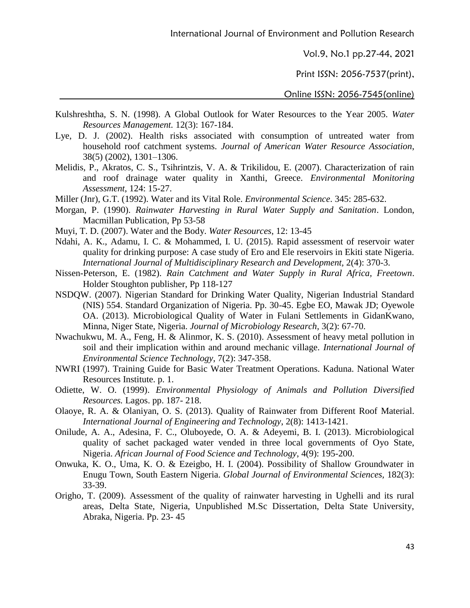Vol.9, No.1 pp.27-44, 2021

Print ISSN: 2056-7537(print),

- Kulshreshtha, S. N. (1998). A Global Outlook for Water Resources to the Year 2005. *Water Resources Management.* 12(3): 167-184.
- Lye, D. J. (2002). Health risks associated with consumption of untreated water from household roof catchment systems. *Journal of American Water Resource Association*, 38(5) (2002), 1301–1306.
- Melidis, P., Akratos, C. S., Tsihrintzis, V. A. & Trikilidou, E. (2007). Characterization of rain and roof drainage water quality in Xanthi, Greece. *Environmental Monitoring Assessment*, 124: 15-27.
- Miller (Jnr), G.T. (1992). Water and its Vital Role. *Environmental Science*. 345: 285-632.
- Morgan, P. (1990). *Rainwater Harvesting in Rural Water Supply and Sanitation*. London, Macmillan Publication, Pp 53-58
- Muyi, T. D. (2007). Water and the Body. *Water Resources*, 12: 13-45
- Ndahi, A. K., Adamu, I. C. & Mohammed, I. U. (2015). Rapid assessment of reservoir water quality for drinking purpose: A case study of Ero and Ele reservoirs in Ekiti state Nigeria. *International Journal of Multidisciplinary Research and Development,* 2(4): 370-3.
- Nissen-Peterson, E. (1982). *Rain Catchment and Water Supply in Rural Africa, Freetown*. Holder Stoughton publisher, Pp 118-127
- NSDQW. (2007). Nigerian Standard for Drinking Water Quality, Nigerian Industrial Standard (NIS) 554. Standard Organization of Nigeria. Pp. 30-45. Egbe EO, Mawak JD; Oyewole OA. (2013). Microbiological Quality of Water in Fulani Settlements in GidanKwano, Minna, Niger State, Nigeria. *Journal of Microbiology Research,* 3(2): 67-70.
- Nwachukwu, M. A., Feng, H. & Alinmor, K. S. (2010). Assessment of heavy metal pollution in soil and their implication within and around mechanic village. *International Journal of Environmental Science Technology*, 7(2): 347-358.
- NWRI (1997). Training Guide for Basic Water Treatment Operations. Kaduna. National Water Resources Institute. p. 1.
- Odiette, W. O. (1999). *Environmental Physiology of Animals and Pollution Diversified Resources.* Lagos. pp. 187- 218.
- Olaoye, R. A. & Olaniyan, O. S. (2013). Quality of Rainwater from Different Roof Material. *International Journal of Engineering and Technology*, 2(8): 1413-1421.
- Onilude, A. A., Adesina, F. C., Oluboyede, O. A. & Adeyemi, B. I. (2013). Microbiological quality of sachet packaged water vended in three local governments of Oyo State, Nigeria. *African Journal of Food Science and Technology*, 4(9): 195-200.
- Onwuka, K. O., Uma, K. O. & Ezeigbo, H. I. (2004). Possibility of Shallow Groundwater in Enugu Town, South Eastern Nigeria. *Global Journal of Environmental Sciences,* 182(3): 33-39.
- Origho, T. (2009). Assessment of the quality of rainwater harvesting in Ughelli and its rural areas, Delta State, Nigeria, Unpublished M.Sc Dissertation, Delta State University, Abraka, Nigeria. Pp. 23- 45